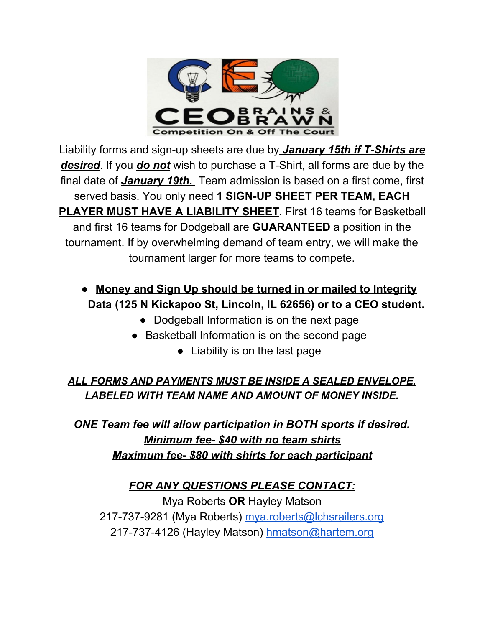

Liability forms and sign-up sheets are due by *January 15th if T-Shirts are desired*. If you *do not* wish to purchase a T-Shirt, all forms are due by the final date of *January 19th.* Team admission is based on a first come, first served basis. You only need **1 SIGN-UP SHEET PER TEAM, EACH PLAYER MUST HAVE A LIABILITY SHEET**. First 16 teams for Basketball and first 16 teams for Dodgeball are **GUARANTEED** a position in the tournament. If by overwhelming demand of team entry, we will make the tournament larger for more teams to compete.

## **● Money and Sign Up should be turned in or mailed to Integrity Data (125 N Kickapoo St, Lincoln, IL 62656) or to a CEO student.**

- Dodgeball Information is on the next page
- Basketball Information is on the second page
	- Liability is on the last page

## *ALL FORMS AND PAYMENTS MUST BE INSIDE A SEALED ENVELOPE, LABELED WITH TEAM NAME AND AMOUNT OF MONEY INSIDE.*

*ONE Team fee will allow participation in BOTH sports if desired. Minimum fee- \$40 with no team shirts Maximum fee- \$80 with shirts for each participant*

## *FOR ANY QUESTIONS PLEASE CONTACT:*

Mya Roberts **OR** Hayley Matson 217-737-9281 (Mya Roberts) [mya.roberts@lchsrailers.org](mailto:mya.roberts@lchsrailers.org) 217-737-4126 (Hayley Matson) [hmatson@hartem.org](mailto:hmatson@hartem.org)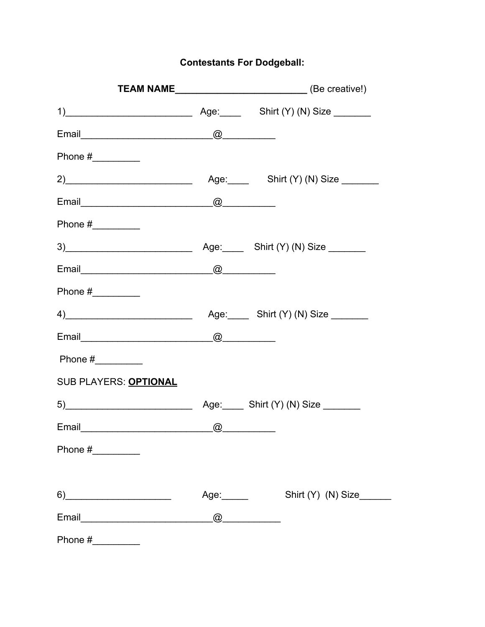**Contestants For Dodgeball:** 

|                                                                                                                                                                                                                                | <b>TEAM NAME</b> __________________________________(Be creative!) |
|--------------------------------------------------------------------------------------------------------------------------------------------------------------------------------------------------------------------------------|-------------------------------------------------------------------|
|                                                                                                                                                                                                                                |                                                                   |
|                                                                                                                                                                                                                                |                                                                   |
|                                                                                                                                                                                                                                |                                                                   |
| 2)                                                                                                                                                                                                                             | Age: Shirt (Y) (N) Size                                           |
|                                                                                                                                                                                                                                |                                                                   |
|                                                                                                                                                                                                                                |                                                                   |
|                                                                                                                                                                                                                                |                                                                   |
|                                                                                                                                                                                                                                |                                                                   |
| Phone $\#$                                                                                                                                                                                                                     |                                                                   |
| 4) Age: Shirt (Y) (N) Size                                                                                                                                                                                                     |                                                                   |
|                                                                                                                                                                                                                                |                                                                   |
|                                                                                                                                                                                                                                |                                                                   |
| SUB PLAYERS: OPTIONAL                                                                                                                                                                                                          |                                                                   |
|                                                                                                                                                                                                                                |                                                                   |
| Email and a contract of the contract of the contract of the contract of the contract of the contract of the contract of the contract of the contract of the contract of the contract of the contract of the contract of the co |                                                                   |
| Phone $\#$                                                                                                                                                                                                                     |                                                                   |
|                                                                                                                                                                                                                                |                                                                   |
| $6) \qquad \qquad \overbrace{\qquad \qquad }$                                                                                                                                                                                  | Age: Shirt (Y) (N) Size                                           |
|                                                                                                                                                                                                                                |                                                                   |
|                                                                                                                                                                                                                                |                                                                   |